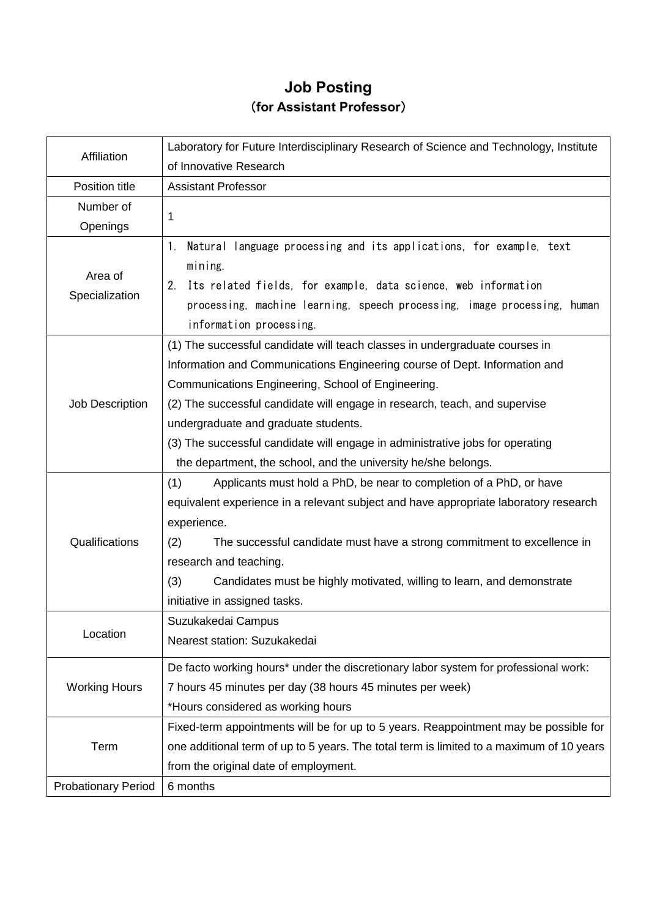## **Job Posting** (**for Assistant Professor**)

| Affiliation                | Laboratory for Future Interdisciplinary Research of Science and Technology, Institute                                                                                                                                                                               |
|----------------------------|---------------------------------------------------------------------------------------------------------------------------------------------------------------------------------------------------------------------------------------------------------------------|
|                            | of Innovative Research                                                                                                                                                                                                                                              |
| Position title             | <b>Assistant Professor</b>                                                                                                                                                                                                                                          |
| Number of                  | 1                                                                                                                                                                                                                                                                   |
| Openings                   |                                                                                                                                                                                                                                                                     |
| Area of<br>Specialization  | Natural language processing and its applications, for example, text<br>1.<br>mining.<br>Its related fields, for example, data science, web information<br>2.<br>processing, machine learning, speech processing, image processing, human<br>information processing. |
|                            | (1) The successful candidate will teach classes in undergraduate courses in                                                                                                                                                                                         |
|                            | Information and Communications Engineering course of Dept. Information and                                                                                                                                                                                          |
|                            | Communications Engineering, School of Engineering.                                                                                                                                                                                                                  |
| Job Description            | (2) The successful candidate will engage in research, teach, and supervise                                                                                                                                                                                          |
|                            | undergraduate and graduate students.                                                                                                                                                                                                                                |
|                            | (3) The successful candidate will engage in administrative jobs for operating                                                                                                                                                                                       |
|                            | the department, the school, and the university he/she belongs.                                                                                                                                                                                                      |
|                            | (1)<br>Applicants must hold a PhD, be near to completion of a PhD, or have                                                                                                                                                                                          |
|                            | equivalent experience in a relevant subject and have appropriate laboratory research                                                                                                                                                                                |
|                            | experience.                                                                                                                                                                                                                                                         |
| Qualifications             | (2)<br>The successful candidate must have a strong commitment to excellence in                                                                                                                                                                                      |
|                            | research and teaching.                                                                                                                                                                                                                                              |
|                            | (3)<br>Candidates must be highly motivated, willing to learn, and demonstrate                                                                                                                                                                                       |
|                            | initiative in assigned tasks.                                                                                                                                                                                                                                       |
| Location                   | Suzukakedai Campus                                                                                                                                                                                                                                                  |
|                            | Nearest station: Suzukakedai                                                                                                                                                                                                                                        |
| <b>Working Hours</b>       | De facto working hours* under the discretionary labor system for professional work:                                                                                                                                                                                 |
|                            | 7 hours 45 minutes per day (38 hours 45 minutes per week)                                                                                                                                                                                                           |
|                            | *Hours considered as working hours                                                                                                                                                                                                                                  |
| Term                       | Fixed-term appointments will be for up to 5 years. Reappointment may be possible for                                                                                                                                                                                |
|                            | one additional term of up to 5 years. The total term is limited to a maximum of 10 years                                                                                                                                                                            |
|                            | from the original date of employment.                                                                                                                                                                                                                               |
| <b>Probationary Period</b> | 6 months                                                                                                                                                                                                                                                            |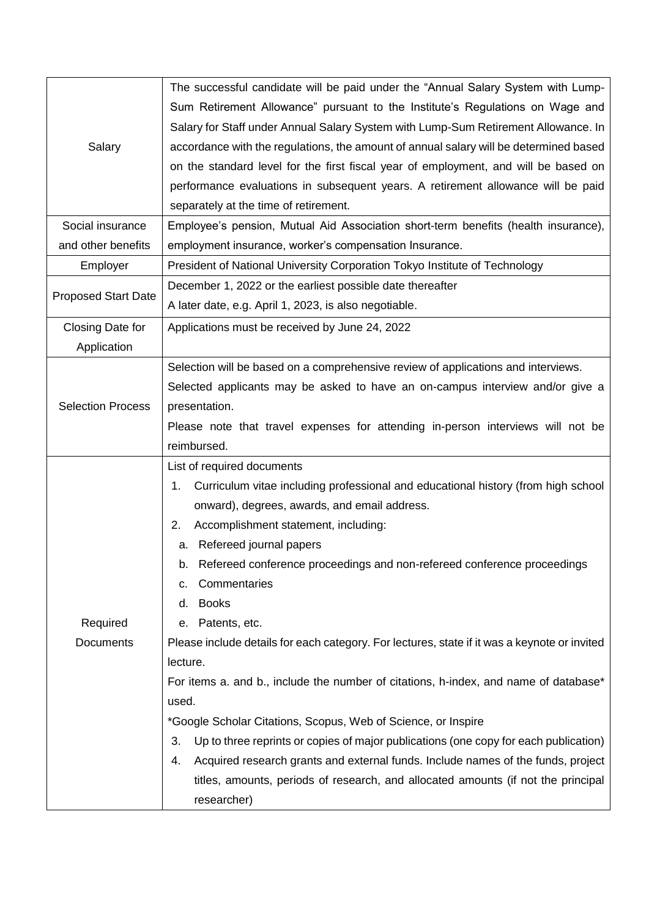| Salary                     | The successful candidate will be paid under the "Annual Salary System with Lump-             |
|----------------------------|----------------------------------------------------------------------------------------------|
|                            | Sum Retirement Allowance" pursuant to the Institute's Regulations on Wage and                |
|                            | Salary for Staff under Annual Salary System with Lump-Sum Retirement Allowance. In           |
|                            | accordance with the regulations, the amount of annual salary will be determined based        |
|                            | on the standard level for the first fiscal year of employment, and will be based on          |
|                            | performance evaluations in subsequent years. A retirement allowance will be paid             |
|                            | separately at the time of retirement.                                                        |
| Social insurance           | Employee's pension, Mutual Aid Association short-term benefits (health insurance),           |
| and other benefits         | employment insurance, worker's compensation Insurance.                                       |
| Employer                   | President of National University Corporation Tokyo Institute of Technology                   |
| <b>Proposed Start Date</b> | December 1, 2022 or the earliest possible date thereafter                                    |
|                            | A later date, e.g. April 1, 2023, is also negotiable.                                        |
| Closing Date for           | Applications must be received by June 24, 2022                                               |
| Application                |                                                                                              |
|                            | Selection will be based on a comprehensive review of applications and interviews.            |
| <b>Selection Process</b>   | Selected applicants may be asked to have an on-campus interview and/or give a                |
|                            | presentation.                                                                                |
|                            | Please note that travel expenses for attending in-person interviews will not be              |
|                            | reimbursed.                                                                                  |
|                            | List of required documents                                                                   |
|                            | Curriculum vitae including professional and educational history (from high school<br>1.      |
|                            | onward), degrees, awards, and email address.                                                 |
|                            | 2.<br>Accomplishment statement, including:                                                   |
|                            | a. Refereed journal papers                                                                   |
|                            | b. Refereed conference proceedings and non-refereed conference proceedings                   |
|                            | Commentaries<br>С.                                                                           |
|                            | <b>Books</b><br>d.                                                                           |
| Required                   | Patents, etc.<br>е.                                                                          |
| Documents                  | Please include details for each category. For lectures, state if it was a keynote or invited |
|                            | lecture.                                                                                     |
|                            | For items a. and b., include the number of citations, h-index, and name of database*         |
|                            | used.                                                                                        |
|                            | *Google Scholar Citations, Scopus, Web of Science, or Inspire                                |
|                            | Up to three reprints or copies of major publications (one copy for each publication)<br>3.   |
|                            | Acquired research grants and external funds. Include names of the funds, project<br>4.       |
|                            | titles, amounts, periods of research, and allocated amounts (if not the principal            |
|                            | researcher)                                                                                  |